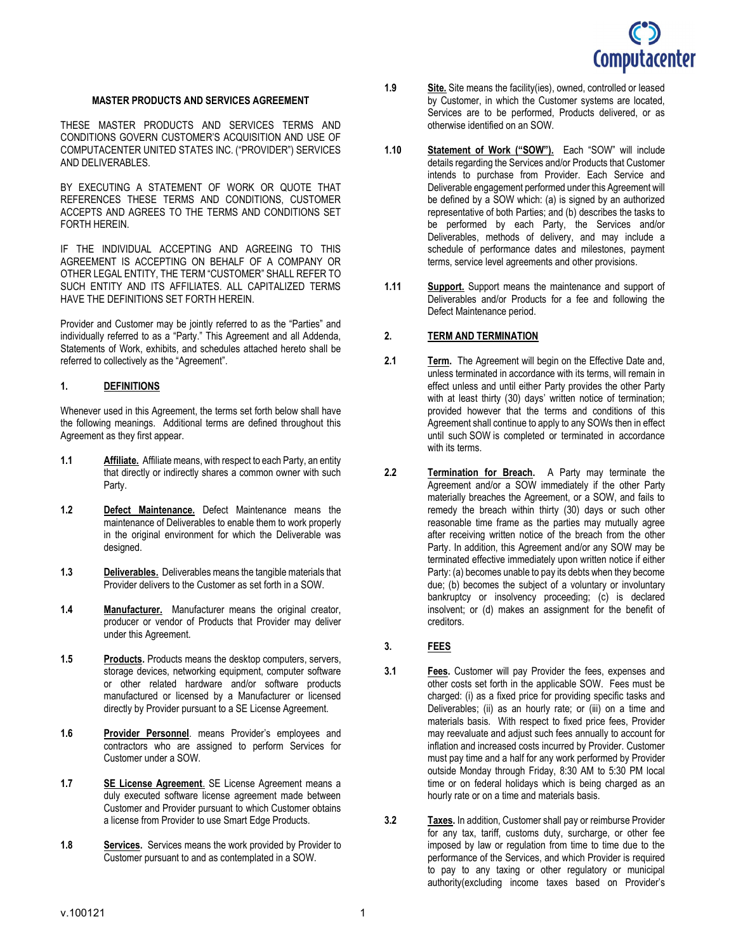

#### MASTER PRODUCTS AND SERVICES AGREEMENT

THESE MASTER PRODUCTS AND SERVICES TERMS AND CONDITIONS GOVERN CUSTOMER'S ACQUISITION AND USE OF COMPUTACENTER UNITED STATES INC. ("PROVIDER") SERVICES AND DELIVERABLES.

BY EXECUTING A STATEMENT OF WORK OR QUOTE THAT REFERENCES THESE TERMS AND CONDITIONS, CUSTOMER ACCEPTS AND AGREES TO THE TERMS AND CONDITIONS SET FORTH HEREIN.

IF THE INDIVIDUAL ACCEPTING AND AGREEING TO THIS AGREEMENT IS ACCEPTING ON BEHALF OF A COMPANY OR OTHER LEGAL ENTITY, THE TERM "CUSTOMER" SHALL REFER TO SUCH ENTITY AND ITS AFFILIATES. ALL CAPITALIZED TERMS HAVE THE DEFINITIONS SET FORTH HEREIN.

Provider and Customer may be jointly referred to as the "Parties" and individually referred to as a "Party." This Agreement and all Addenda, Statements of Work, exhibits, and schedules attached hereto shall be referred to collectively as the "Agreement".

#### 1. DEFINITIONS

Whenever used in this Agreement, the terms set forth below shall have the following meanings. Additional terms are defined throughout this Agreement as they first appear.

- 1.1 Affiliate. Affiliate means, with respect to each Party, an entity that directly or indirectly shares a common owner with such Party.
- 1.2 Defect Maintenance. Defect Maintenance means the maintenance of Deliverables to enable them to work properly in the original environment for which the Deliverable was designed.
- 1.3 Deliverables. Deliverables means the tangible materials that Provider delivers to the Customer as set forth in a SOW.
- 1.4 Manufacturer. Manufacturer means the original creator, producer or vendor of Products that Provider may deliver under this Agreement.
- 1.5 Products. Products means the desktop computers, servers, storage devices, networking equipment, computer software or other related hardware and/or software products manufactured or licensed by a Manufacturer or licensed directly by Provider pursuant to a SE License Agreement.
- 1.6 Provider Personnel. means Provider's employees and contractors who are assigned to perform Services for Customer under a SOW.
- 1.7 SE License Agreement. SE License Agreement means a duly executed software license agreement made between Customer and Provider pursuant to which Customer obtains a license from Provider to use Smart Edge Products.
- 1.8 Services. Services means the work provided by Provider to Customer pursuant to and as contemplated in a SOW.
- 1.9 Site. Site means the facility (ies), owned, controlled or leased by Customer, in which the Customer systems are located, Services are to be performed, Products delivered, or as otherwise identified on an SOW.
- 1.10 Statement of Work ("SOW"). Each "SOW" will include details regarding the Services and/or Products that Customer intends to purchase from Provider. Each Service and Deliverable engagement performed under this Agreement will be defined by a SOW which: (a) is signed by an authorized representative of both Parties; and (b) describes the tasks to be performed by each Party, the Services and/or Deliverables, methods of delivery, and may include a schedule of performance dates and milestones, payment terms, service level agreements and other provisions.
- 1.11 Support. Support means the maintenance and support of Deliverables and/or Products for a fee and following the Defect Maintenance period.

#### 2. TERM AND TERMINATION

- 2.1 **Term.** The Agreement will begin on the Effective Date and, unless terminated in accordance with its terms, will remain in effect unless and until either Party provides the other Party with at least thirty (30) days' written notice of termination; provided however that the terms and conditions of this Agreement shall continue to apply to any SOWs then in effect until such SOW is completed or terminated in accordance with its terms.
- 2.2 Termination for Breach. A Party may terminate the Agreement and/or a SOW immediately if the other Party materially breaches the Agreement, or a SOW, and fails to remedy the breach within thirty (30) days or such other reasonable time frame as the parties may mutually agree after receiving written notice of the breach from the other Party. In addition, this Agreement and/or any SOW may be terminated effective immediately upon written notice if either Party: (a) becomes unable to pay its debts when they become due; (b) becomes the subject of a voluntary or involuntary bankruptcy or insolvency proceeding; (c) is declared insolvent; or (d) makes an assignment for the benefit of creditors.

#### 3. FEES

- 3.1 Fees. Customer will pay Provider the fees, expenses and other costs set forth in the applicable SOW. Fees must be charged: (i) as a fixed price for providing specific tasks and Deliverables; (ii) as an hourly rate; or (iii) on a time and materials basis. With respect to fixed price fees, Provider may reevaluate and adjust such fees annually to account for inflation and increased costs incurred by Provider. Customer must pay time and a half for any work performed by Provider outside Monday through Friday, 8:30 AM to 5:30 PM local time or on federal holidays which is being charged as an hourly rate or on a time and materials basis.
- 3.2 Taxes. In addition, Customer shall pay or reimburse Provider for any tax, tariff, customs duty, surcharge, or other fee imposed by law or regulation from time to time due to the performance of the Services, and which Provider is required to pay to any taxing or other regulatory or municipal authority(excluding income taxes based on Provider's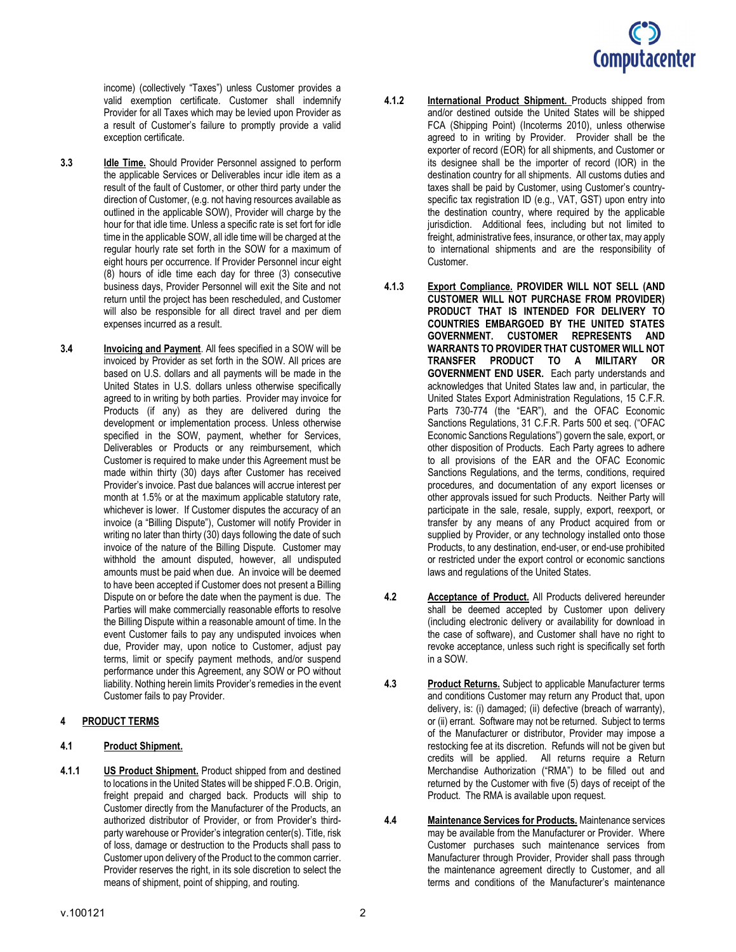

income) (collectively "Taxes") unless Customer provides a valid exemption certificate. Customer shall indemnify Provider for all Taxes which may be levied upon Provider as a result of Customer's failure to promptly provide a valid exception certificate.

- 3.3 **Idle Time.** Should Provider Personnel assigned to perform the applicable Services or Deliverables incur idle item as a result of the fault of Customer, or other third party under the direction of Customer, (e.g. not having resources available as outlined in the applicable SOW), Provider will charge by the hour for that idle time. Unless a specific rate is set fort for idle time in the applicable SOW, all idle time will be charged at the regular hourly rate set forth in the SOW for a maximum of eight hours per occurrence. If Provider Personnel incur eight (8) hours of idle time each day for three (3) consecutive business days, Provider Personnel will exit the Site and not return until the project has been rescheduled, and Customer will also be responsible for all direct travel and per diem expenses incurred as a result.
- 3.4 Invoicing and Payment. All fees specified in a SOW will be invoiced by Provider as set forth in the SOW. All prices are based on U.S. dollars and all payments will be made in the United States in U.S. dollars unless otherwise specifically agreed to in writing by both parties. Provider may invoice for Products (if any) as they are delivered during the development or implementation process. Unless otherwise specified in the SOW, payment, whether for Services, Deliverables or Products or any reimbursement, which Customer is required to make under this Agreement must be made within thirty (30) days after Customer has received Provider's invoice. Past due balances will accrue interest per month at 1.5% or at the maximum applicable statutory rate, whichever is lower. If Customer disputes the accuracy of an invoice (a "Billing Dispute"), Customer will notify Provider in writing no later than thirty (30) days following the date of such invoice of the nature of the Billing Dispute. Customer may withhold the amount disputed, however, all undisputed amounts must be paid when due. An invoice will be deemed to have been accepted if Customer does not present a Billing Dispute on or before the date when the payment is due. The Parties will make commercially reasonable efforts to resolve the Billing Dispute within a reasonable amount of time. In the event Customer fails to pay any undisputed invoices when due, Provider may, upon notice to Customer, adjust pay terms, limit or specify payment methods, and/or suspend performance under this Agreement, any SOW or PO without liability. Nothing herein limits Provider's remedies in the event Customer fails to pay Provider.

#### 4 PRODUCT TERMS

#### 4.1 Product Shipment.

4.1.1 US Product Shipment. Product shipped from and destined to locations in the United States will be shipped F.O.B. Origin, freight prepaid and charged back. Products will ship to Customer directly from the Manufacturer of the Products, an authorized distributor of Provider, or from Provider's thirdparty warehouse or Provider's integration center(s). Title, risk of loss, damage or destruction to the Products shall pass to Customer upon delivery of the Product to the common carrier. Provider reserves the right, in its sole discretion to select the means of shipment, point of shipping, and routing.

- 4.1.2 International Product Shipment. Products shipped from and/or destined outside the United States will be shipped FCA (Shipping Point) (Incoterms 2010), unless otherwise agreed to in writing by Provider. Provider shall be the exporter of record (EOR) for all shipments, and Customer or its designee shall be the importer of record (IOR) in the destination country for all shipments. All customs duties and taxes shall be paid by Customer, using Customer's countryspecific tax registration ID (e.g., VAT, GST) upon entry into the destination country, where required by the applicable jurisdiction. Additional fees, including but not limited to freight, administrative fees, insurance, or other tax, may apply to international shipments and are the responsibility of Customer.
- 4.1.3 Export Compliance. PROVIDER WILL NOT SELL (AND CUSTOMER WILL NOT PURCHASE FROM PROVIDER) PRODUCT THAT IS INTENDED FOR DELIVERY TO COUNTRIES EMBARGOED BY THE UNITED STATES GOVERNMENT. CUSTOMER REPRESENTS AND WARRANTS TO PROVIDER THAT CUSTOMER WILL NOT TRANSFER PRODUCT TO A MILITARY OR GOVERNMENT END USER. Each party understands and acknowledges that United States law and, in particular, the United States Export Administration Regulations, 15 C.F.R. Parts 730-774 (the "EAR"), and the OFAC Economic Sanctions Regulations, 31 C.F.R. Parts 500 et seq. ("OFAC Economic Sanctions Regulations") govern the sale, export, or other disposition of Products. Each Party agrees to adhere to all provisions of the EAR and the OFAC Economic Sanctions Regulations, and the terms, conditions, required procedures, and documentation of any export licenses or other approvals issued for such Products. Neither Party will participate in the sale, resale, supply, export, reexport, or transfer by any means of any Product acquired from or supplied by Provider, or any technology installed onto those Products, to any destination, end-user, or end-use prohibited or restricted under the export control or economic sanctions laws and regulations of the United States.
- 4.2 Acceptance of Product. All Products delivered hereunder shall be deemed accepted by Customer upon delivery (including electronic delivery or availability for download in the case of software), and Customer shall have no right to revoke acceptance, unless such right is specifically set forth in a SOW.
- 4.3 Product Returns. Subject to applicable Manufacturer terms and conditions Customer may return any Product that, upon delivery, is: (i) damaged; (ii) defective (breach of warranty), or (ii) errant. Software may not be returned. Subject to terms of the Manufacturer or distributor, Provider may impose a restocking fee at its discretion. Refunds will not be given but credits will be applied. All returns require a Return Merchandise Authorization ("RMA") to be filled out and returned by the Customer with five (5) days of receipt of the Product. The RMA is available upon request.
- 4.4 **Maintenance Services for Products.** Maintenance services may be available from the Manufacturer or Provider. Where Customer purchases such maintenance services from Manufacturer through Provider, Provider shall pass through the maintenance agreement directly to Customer, and all terms and conditions of the Manufacturer's maintenance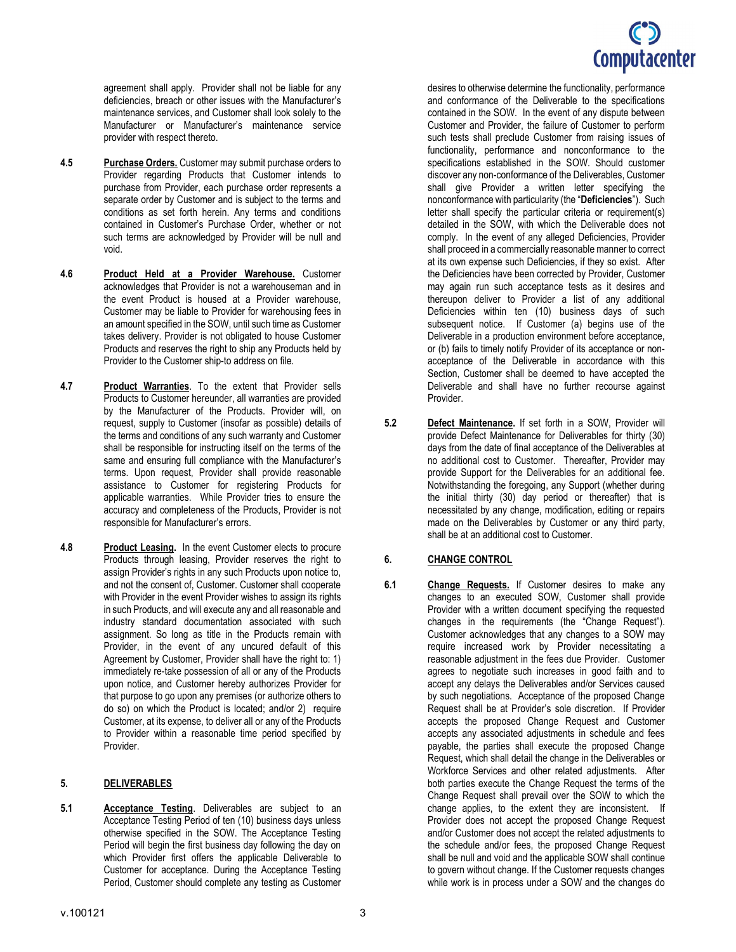# Computacenter

agreement shall apply. Provider shall not be liable for any deficiencies, breach or other issues with the Manufacturer's maintenance services, and Customer shall look solely to the Manufacturer or Manufacturer's maintenance service provider with respect thereto.

- 4.5 Purchase Orders. Customer may submit purchase orders to Provider regarding Products that Customer intends to purchase from Provider, each purchase order represents a separate order by Customer and is subject to the terms and conditions as set forth herein. Any terms and conditions contained in Customer's Purchase Order, whether or not such terms are acknowledged by Provider will be null and void.
- 4.6 Product Held at a Provider Warehouse. Customer acknowledges that Provider is not a warehouseman and in the event Product is housed at a Provider warehouse, Customer may be liable to Provider for warehousing fees in an amount specified in the SOW, until such time as Customer takes delivery. Provider is not obligated to house Customer Products and reserves the right to ship any Products held by Provider to the Customer ship-to address on file.
- 4.7 Product Warranties. To the extent that Provider sells Products to Customer hereunder, all warranties are provided by the Manufacturer of the Products. Provider will, on request, supply to Customer (insofar as possible) details of the terms and conditions of any such warranty and Customer shall be responsible for instructing itself on the terms of the same and ensuring full compliance with the Manufacturer's terms. Upon request, Provider shall provide reasonable assistance to Customer for registering Products for applicable warranties. While Provider tries to ensure the accuracy and completeness of the Products, Provider is not responsible for Manufacturer's errors.
- 4.8 Product Leasing. In the event Customer elects to procure Products through leasing, Provider reserves the right to assign Provider's rights in any such Products upon notice to, and not the consent of, Customer. Customer shall cooperate with Provider in the event Provider wishes to assign its rights in such Products, and will execute any and all reasonable and industry standard documentation associated with such assignment. So long as title in the Products remain with Provider, in the event of any uncured default of this Agreement by Customer, Provider shall have the right to: 1) immediately re-take possession of all or any of the Products upon notice, and Customer hereby authorizes Provider for that purpose to go upon any premises (or authorize others to do so) on which the Product is located; and/or 2) require Customer, at its expense, to deliver all or any of the Products to Provider within a reasonable time period specified by Provider.

## 5. DELIVERABLES

5.1 **Acceptance Testing**. Deliverables are subject to an Acceptance Testing Period of ten (10) business days unless otherwise specified in the SOW. The Acceptance Testing Period will begin the first business day following the day on which Provider first offers the applicable Deliverable to Customer for acceptance. During the Acceptance Testing Period, Customer should complete any testing as Customer

desires to otherwise determine the functionality, performance and conformance of the Deliverable to the specifications contained in the SOW. In the event of any dispute between Customer and Provider, the failure of Customer to perform such tests shall preclude Customer from raising issues of functionality, performance and nonconformance to the specifications established in the SOW. Should customer discover any non-conformance of the Deliverables, Customer shall give Provider a written letter specifying the nonconformance with particularity (the "Deficiencies"). Such letter shall specify the particular criteria or requirement(s) detailed in the SOW, with which the Deliverable does not comply. In the event of any alleged Deficiencies, Provider shall proceed in a commercially reasonable manner to correct at its own expense such Deficiencies, if they so exist. After the Deficiencies have been corrected by Provider, Customer may again run such acceptance tests as it desires and thereupon deliver to Provider a list of any additional Deficiencies within ten (10) business days of such subsequent notice. If Customer (a) begins use of the Deliverable in a production environment before acceptance, or (b) fails to timely notify Provider of its acceptance or nonacceptance of the Deliverable in accordance with this Section, Customer shall be deemed to have accepted the Deliverable and shall have no further recourse against Provider.

5.2 Defect Maintenance. If set forth in a SOW, Provider will provide Defect Maintenance for Deliverables for thirty (30) days from the date of final acceptance of the Deliverables at no additional cost to Customer. Thereafter, Provider may provide Support for the Deliverables for an additional fee. Notwithstanding the foregoing, any Support (whether during the initial thirty (30) day period or thereafter) that is necessitated by any change, modification, editing or repairs made on the Deliverables by Customer or any third party, shall be at an additional cost to Customer.

## 6. CHANGE CONTROL

6.1 Change Requests. If Customer desires to make any changes to an executed SOW, Customer shall provide Provider with a written document specifying the requested changes in the requirements (the "Change Request"). Customer acknowledges that any changes to a SOW may require increased work by Provider necessitating a reasonable adjustment in the fees due Provider. Customer agrees to negotiate such increases in good faith and to accept any delays the Deliverables and/or Services caused by such negotiations. Acceptance of the proposed Change Request shall be at Provider's sole discretion. If Provider accepts the proposed Change Request and Customer accepts any associated adjustments in schedule and fees payable, the parties shall execute the proposed Change Request, which shall detail the change in the Deliverables or Workforce Services and other related adjustments. After both parties execute the Change Request the terms of the Change Request shall prevail over the SOW to which the change applies, to the extent they are inconsistent. If Provider does not accept the proposed Change Request and/or Customer does not accept the related adjustments to the schedule and/or fees, the proposed Change Request shall be null and void and the applicable SOW shall continue to govern without change. If the Customer requests changes while work is in process under a SOW and the changes do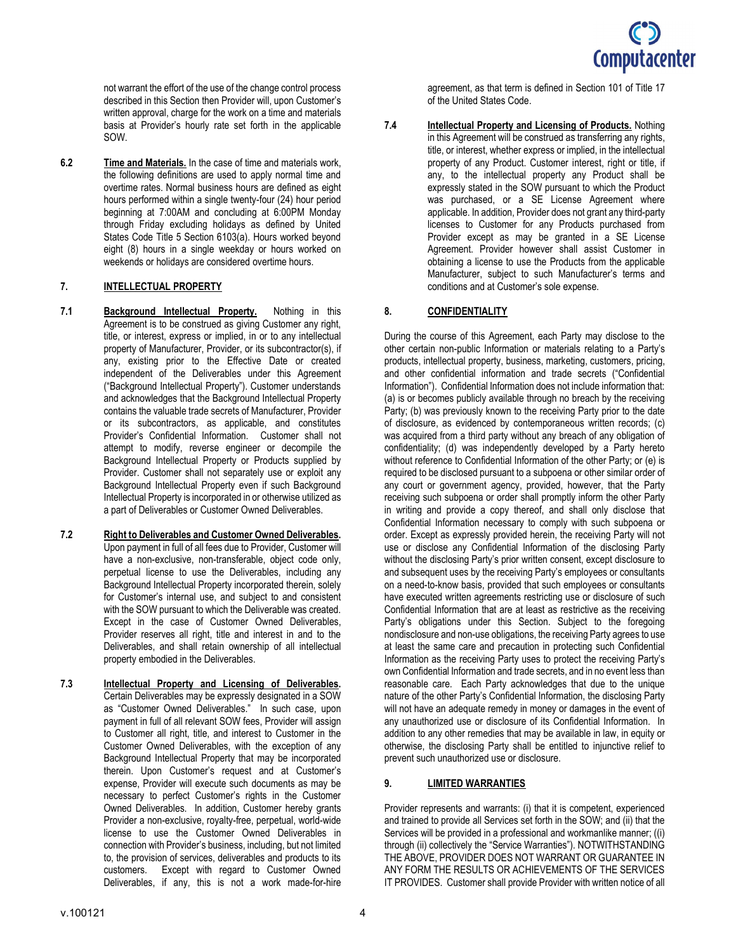

not warrant the effort of the use of the change control process described in this Section then Provider will, upon Customer's written approval, charge for the work on a time and materials basis at Provider's hourly rate set forth in the applicable SOW.

6.2 Time and Materials. In the case of time and materials work, the following definitions are used to apply normal time and overtime rates. Normal business hours are defined as eight hours performed within a single twenty-four (24) hour period beginning at 7:00AM and concluding at 6:00PM Monday through Friday excluding holidays as defined by United States Code Title 5 Section 6103(a). Hours worked beyond eight (8) hours in a single weekday or hours worked on weekends or holidays are considered overtime hours.

#### 7. INTELLECTUAL PROPERTY

- 7.1 Background Intellectual Property. Nothing in this Agreement is to be construed as giving Customer any right, title, or interest, express or implied, in or to any intellectual property of Manufacturer, Provider, or its subcontractor(s), if any, existing prior to the Effective Date or created independent of the Deliverables under this Agreement ("Background Intellectual Property"). Customer understands and acknowledges that the Background Intellectual Property contains the valuable trade secrets of Manufacturer, Provider or its subcontractors, as applicable, and constitutes Provider's Confidential Information. Customer shall not attempt to modify, reverse engineer or decompile the Background Intellectual Property or Products supplied by Provider. Customer shall not separately use or exploit any Background Intellectual Property even if such Background Intellectual Property is incorporated in or otherwise utilized as a part of Deliverables or Customer Owned Deliverables.
- 7.2 Right to Deliverables and Customer Owned Deliverables. Upon payment in full of all fees due to Provider, Customer will have a non-exclusive, non-transferable, object code only, perpetual license to use the Deliverables, including any Background Intellectual Property incorporated therein, solely for Customer's internal use, and subject to and consistent with the SOW pursuant to which the Deliverable was created. Except in the case of Customer Owned Deliverables, Provider reserves all right, title and interest in and to the Deliverables, and shall retain ownership of all intellectual property embodied in the Deliverables.
- 7.3 Intellectual Property and Licensing of Deliverables. Certain Deliverables may be expressly designated in a SOW as "Customer Owned Deliverables." In such case, upon payment in full of all relevant SOW fees, Provider will assign to Customer all right, title, and interest to Customer in the Customer Owned Deliverables, with the exception of any Background Intellectual Property that may be incorporated therein. Upon Customer's request and at Customer's expense, Provider will execute such documents as may be necessary to perfect Customer's rights in the Customer Owned Deliverables. In addition, Customer hereby grants Provider a non-exclusive, royalty-free, perpetual, world-wide license to use the Customer Owned Deliverables in connection with Provider's business, including, but not limited to, the provision of services, deliverables and products to its customers. Except with regard to Customer Owned Deliverables, if any, this is not a work made-for-hire

agreement, as that term is defined in Section 101 of Title 17 of the United States Code.

7.4 **Intellectual Property and Licensing of Products.** Nothing in this Agreement will be construed as transferring any rights, title, or interest, whether express or implied, in the intellectual property of any Product. Customer interest, right or title, if any, to the intellectual property any Product shall be expressly stated in the SOW pursuant to which the Product was purchased, or a SE License Agreement where applicable. In addition, Provider does not grant any third-party licenses to Customer for any Products purchased from Provider except as may be granted in a SE License Agreement. Provider however shall assist Customer in obtaining a license to use the Products from the applicable Manufacturer, subject to such Manufacturer's terms and conditions and at Customer's sole expense.

#### 8. CONFIDENTIALITY

During the course of this Agreement, each Party may disclose to the other certain non-public Information or materials relating to a Party's products, intellectual property, business, marketing, customers, pricing, and other confidential information and trade secrets ("Confidential Information"). Confidential Information does not include information that: (a) is or becomes publicly available through no breach by the receiving Party; (b) was previously known to the receiving Party prior to the date of disclosure, as evidenced by contemporaneous written records; (c) was acquired from a third party without any breach of any obligation of confidentiality; (d) was independently developed by a Party hereto without reference to Confidential Information of the other Party; or (e) is required to be disclosed pursuant to a subpoena or other similar order of any court or government agency, provided, however, that the Party receiving such subpoena or order shall promptly inform the other Party in writing and provide a copy thereof, and shall only disclose that Confidential Information necessary to comply with such subpoena or order. Except as expressly provided herein, the receiving Party will not use or disclose any Confidential Information of the disclosing Party without the disclosing Party's prior written consent, except disclosure to and subsequent uses by the receiving Party's employees or consultants on a need-to-know basis, provided that such employees or consultants have executed written agreements restricting use or disclosure of such Confidential Information that are at least as restrictive as the receiving Party's obligations under this Section. Subject to the foregoing nondisclosure and non-use obligations, the receiving Party agrees to use at least the same care and precaution in protecting such Confidential Information as the receiving Party uses to protect the receiving Party's own Confidential Information and trade secrets, and in no event less than reasonable care. Each Party acknowledges that due to the unique nature of the other Party's Confidential Information, the disclosing Party will not have an adequate remedy in money or damages in the event of any unauthorized use or disclosure of its Confidential Information. In addition to any other remedies that may be available in law, in equity or otherwise, the disclosing Party shall be entitled to injunctive relief to prevent such unauthorized use or disclosure.

#### 9. LIMITED WARRANTIES

Provider represents and warrants: (i) that it is competent, experienced and trained to provide all Services set forth in the SOW; and (ii) that the Services will be provided in a professional and workmanlike manner; ((i) through (ii) collectively the "Service Warranties"). NOTWITHSTANDING THE ABOVE, PROVIDER DOES NOT WARRANT OR GUARANTEE IN ANY FORM THE RESULTS OR ACHIEVEMENTS OF THE SERVICES IT PROVIDES. Customer shall provide Provider with written notice of all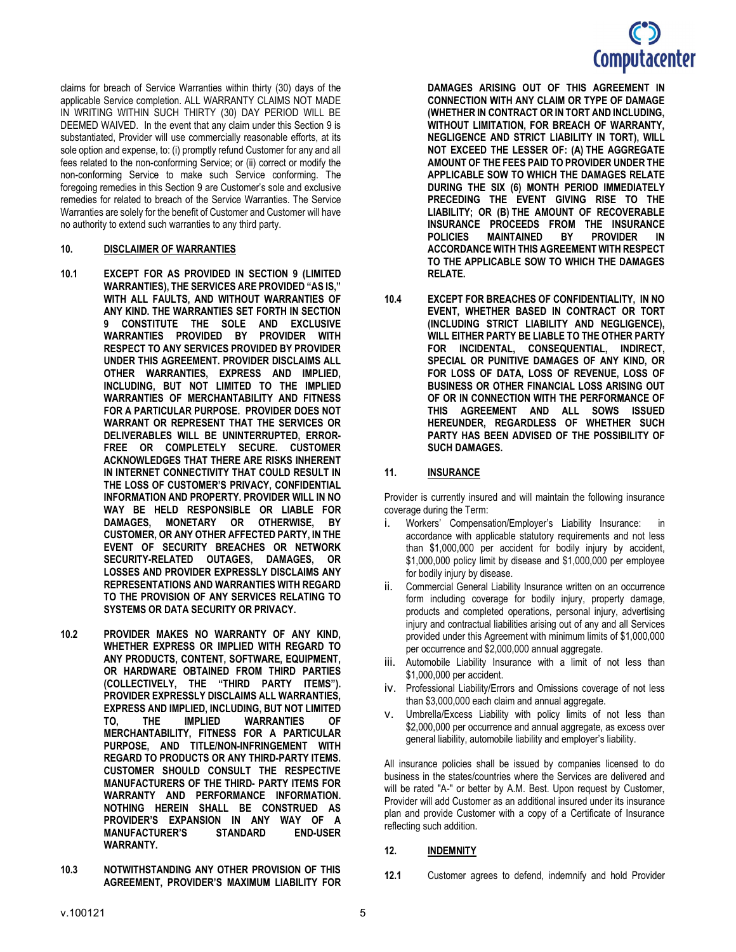## **Computacenter**

claims for breach of Service Warranties within thirty (30) days of the applicable Service completion. ALL WARRANTY CLAIMS NOT MADE IN WRITING WITHIN SUCH THIRTY (30) DAY PERIOD WILL BE DEEMED WAIVED. In the event that any claim under this Section 9 is substantiated, Provider will use commercially reasonable efforts, at its sole option and expense, to: (i) promptly refund Customer for any and all fees related to the non-conforming Service; or (ii) correct or modify the non-conforming Service to make such Service conforming. The foregoing remedies in this Section 9 are Customer's sole and exclusive remedies for related to breach of the Service Warranties. The Service Warranties are solely for the benefit of Customer and Customer will have no authority to extend such warranties to any third party.

#### 10. DISCLAIMER OF WARRANTIES

- 10.1 EXCEPT FOR AS PROVIDED IN SECTION 9 (LIMITED WARRANTIES), THE SERVICES ARE PROVIDED "AS IS," WITH ALL FAULTS, AND WITHOUT WARRANTIES OF ANY KIND. THE WARRANTIES SET FORTH IN SECTION 9 CONSTITUTE THE SOLE AND EXCLUSIVE WARRANTIES PROVIDED BY PROVIDER WITH RESPECT TO ANY SERVICES PROVIDED BY PROVIDER UNDER THIS AGREEMENT. PROVIDER DISCLAIMS ALL OTHER WARRANTIES, EXPRESS AND IMPLIED, INCLUDING, BUT NOT LIMITED TO THE IMPLIED WARRANTIES OF MERCHANTABILITY AND FITNESS FOR A PARTICULAR PURPOSE. PROVIDER DOES NOT WARRANT OR REPRESENT THAT THE SERVICES OR DELIVERABLES WILL BE UNINTERRUPTED, ERROR-FREE OR COMPLETELY SECURE. CUSTOMER ACKNOWLEDGES THAT THERE ARE RISKS INHERENT IN INTERNET CONNECTIVITY THAT COULD RESULT IN THE LOSS OF CUSTOMER'S PRIVACY, CONFIDENTIAL INFORMATION AND PROPERTY. PROVIDER WILL IN NO WAY BE HELD RESPONSIBLE OR LIABLE FOR<br>DAMAGES. MONETARY OR OTHERWISE, BY MONETARY OR OTHERWISE, BY CUSTOMER, OR ANY OTHER AFFECTED PARTY, IN THE EVENT OF SECURITY BREACHES OR NETWORK SECURITY-RELATED OUTAGES, DAMAGES, OR LOSSES AND PROVIDER EXPRESSLY DISCLAIMS ANY REPRESENTATIONS AND WARRANTIES WITH REGARD TO THE PROVISION OF ANY SERVICES RELATING TO SYSTEMS OR DATA SECURITY OR PRIVACY.
- 10.2 PROVIDER MAKES NO WARRANTY OF ANY KIND, WHETHER EXPRESS OR IMPLIED WITH REGARD TO ANY PRODUCTS, CONTENT, SOFTWARE, EQUIPMENT, OR HARDWARE OBTAINED FROM THIRD PARTIES (COLLECTIVELY, THE "THIRD PARTY ITEMS"). PROVIDER EXPRESSLY DISCLAIMS ALL WARRANTIES, EXPRESS AND IMPLIED, INCLUDING, BUT NOT LIMITED TO, THE IMPLIED WARRANTIES OF MERCHANTABILITY, FITNESS FOR A PARTICULAR PURPOSE, AND TITLE/NON-INFRINGEMENT WITH REGARD TO PRODUCTS OR ANY THIRD-PARTY ITEMS. CUSTOMER SHOULD CONSULT THE RESPECTIVE MANUFACTURERS OF THE THIRD- PARTY ITEMS FOR WARRANTY AND PERFORMANCE INFORMATION. NOTHING HEREIN SHALL BE CONSTRUED AS PROVIDER'S EXPANSION IN ANY WAY OF A **MANUFACTURER'S** WARRANTY.
- 10.3 NOTWITHSTANDING ANY OTHER PROVISION OF THIS AGREEMENT, PROVIDER'S MAXIMUM LIABILITY FOR

DAMAGES ARISING OUT OF THIS AGREEMENT IN CONNECTION WITH ANY CLAIM OR TYPE OF DAMAGE (WHETHER IN CONTRACT OR IN TORT AND INCLUDING, WITHOUT LIMITATION, FOR BREACH OF WARRANTY, NEGLIGENCE AND STRICT LIABILITY IN TORT), WILL NOT EXCEED THE LESSER OF: (A) THE AGGREGATE AMOUNT OF THE FEES PAID TO PROVIDER UNDER THE APPLICABLE SOW TO WHICH THE DAMAGES RELATE DURING THE SIX (6) MONTH PERIOD IMMEDIATELY PRECEDING THE EVENT GIVING RISE TO THE LIABILITY; OR (B) THE AMOUNT OF RECOVERABLE INSURANCE PROCEEDS FROM THE INSURANCE POLICIES MAINTAINED BY PROVIDER IN ACCORDANCE WITH THIS AGREEMENT WITH RESPECT TO THE APPLICABLE SOW TO WHICH THE DAMAGES RELATE.

10.4 EXCEPT FOR BREACHES OF CONFIDENTIALITY, IN NO EVENT, WHETHER BASED IN CONTRACT OR TORT (INCLUDING STRICT LIABILITY AND NEGLIGENCE), WILL EITHER PARTY BE LIABLE TO THE OTHER PARTY FOR INCIDENTAL, CONSEQUENTIAL, INDIRECT, SPECIAL OR PUNITIVE DAMAGES OF ANY KIND, OR FOR LOSS OF DATA, LOSS OF REVENUE, LOSS OF BUSINESS OR OTHER FINANCIAL LOSS ARISING OUT OF OR IN CONNECTION WITH THE PERFORMANCE OF THIS AGREEMENT AND ALL SOWS ISSUED HEREUNDER, REGARDLESS OF WHETHER SUCH PARTY HAS BEEN ADVISED OF THE POSSIBILITY OF SUCH DAMAGES.

## 11. INSURANCE

Provider is currently insured and will maintain the following insurance coverage during the Term:

- i. Workers' Compensation/Employer's Liability Insurance: in accordance with applicable statutory requirements and not less than \$1,000,000 per accident for bodily injury by accident, \$1,000,000 policy limit by disease and \$1,000,000 per employee for bodily injury by disease.
- ii. Commercial General Liability Insurance written on an occurrence form including coverage for bodily injury, property damage, products and completed operations, personal injury, advertising injury and contractual liabilities arising out of any and all Services provided under this Agreement with minimum limits of \$1,000,000 per occurrence and \$2,000,000 annual aggregate.
- iii. Automobile Liability Insurance with a limit of not less than \$1,000,000 per accident.
- iv. Professional Liability/Errors and Omissions coverage of not less than \$3,000,000 each claim and annual aggregate.
- v. Umbrella/Excess Liability with policy limits of not less than \$2,000,000 per occurrence and annual aggregate, as excess over general liability, automobile liability and employer's liability.

All insurance policies shall be issued by companies licensed to do business in the states/countries where the Services are delivered and will be rated "A-" or better by A.M. Best. Upon request by Customer, Provider will add Customer as an additional insured under its insurance plan and provide Customer with a copy of a Certificate of Insurance reflecting such addition.

#### 12. INDEMNITY

12.1 Customer agrees to defend, indemnify and hold Provider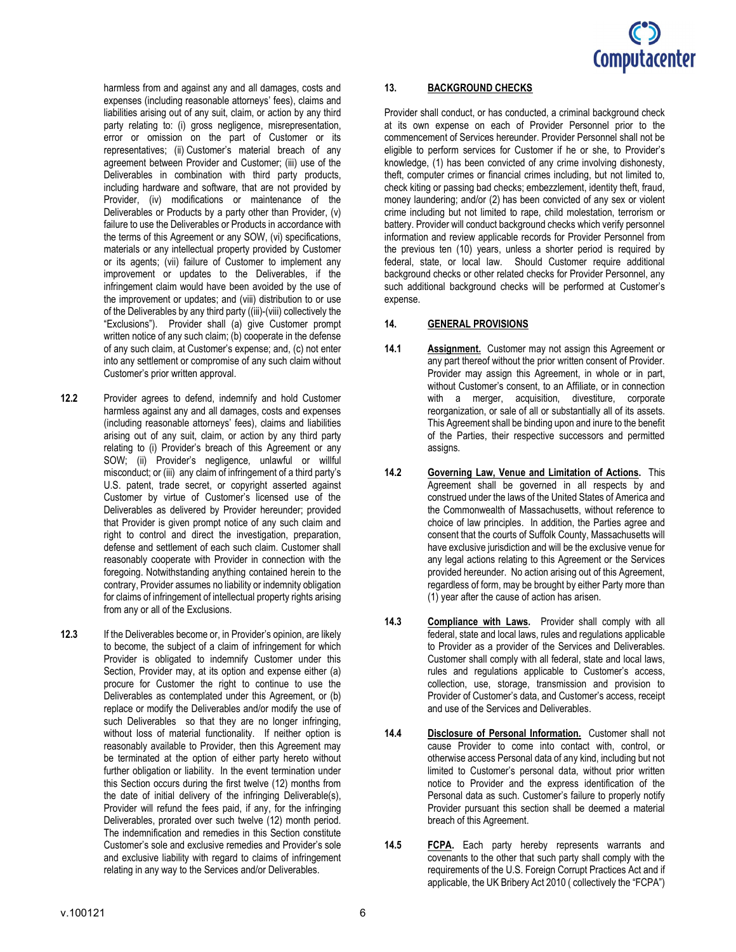

harmless from and against any and all damages, costs and expenses (including reasonable attorneys' fees), claims and liabilities arising out of any suit, claim, or action by any third party relating to: (i) gross negligence, misrepresentation, error or omission on the part of Customer or its representatives; (ii) Customer's material breach of any agreement between Provider and Customer; (iii) use of the Deliverables in combination with third party products, including hardware and software, that are not provided by Provider, (iv) modifications or maintenance of the Deliverables or Products by a party other than Provider, (v) failure to use the Deliverables or Products in accordance with the terms of this Agreement or any SOW, (vi) specifications, materials or any intellectual property provided by Customer or its agents; (vii) failure of Customer to implement any improvement or updates to the Deliverables, if the infringement claim would have been avoided by the use of the improvement or updates; and (viii) distribution to or use of the Deliverables by any third party ((iii)-(viii) collectively the "Exclusions"). Provider shall (a) give Customer prompt written notice of any such claim; (b) cooperate in the defense of any such claim, at Customer's expense; and, (c) not enter into any settlement or compromise of any such claim without Customer's prior written approval.

- 12.2 Provider agrees to defend, indemnify and hold Customer harmless against any and all damages, costs and expenses (including reasonable attorneys' fees), claims and liabilities arising out of any suit, claim, or action by any third party relating to (i) Provider's breach of this Agreement or any SOW; (ii) Provider's negligence, unlawful or willful misconduct; or (iii) any claim of infringement of a third party's U.S. patent, trade secret, or copyright asserted against Customer by virtue of Customer's licensed use of the Deliverables as delivered by Provider hereunder; provided that Provider is given prompt notice of any such claim and right to control and direct the investigation, preparation, defense and settlement of each such claim. Customer shall reasonably cooperate with Provider in connection with the foregoing. Notwithstanding anything contained herein to the contrary, Provider assumes no liability or indemnity obligation for claims of infringement of intellectual property rights arising from any or all of the Exclusions.
- 12.3 If the Deliverables become or, in Provider's opinion, are likely to become, the subject of a claim of infringement for which Provider is obligated to indemnify Customer under this Section, Provider may, at its option and expense either (a) procure for Customer the right to continue to use the Deliverables as contemplated under this Agreement, or (b) replace or modify the Deliverables and/or modify the use of such Deliverables so that they are no longer infringing, without loss of material functionality. If neither option is reasonably available to Provider, then this Agreement may be terminated at the option of either party hereto without further obligation or liability. In the event termination under this Section occurs during the first twelve (12) months from the date of initial delivery of the infringing Deliverable(s), Provider will refund the fees paid, if any, for the infringing Deliverables, prorated over such twelve (12) month period. The indemnification and remedies in this Section constitute Customer's sole and exclusive remedies and Provider's sole and exclusive liability with regard to claims of infringement relating in any way to the Services and/or Deliverables.

#### 13. BACKGROUND CHECKS

Provider shall conduct, or has conducted, a criminal background check at its own expense on each of Provider Personnel prior to the commencement of Services hereunder. Provider Personnel shall not be eligible to perform services for Customer if he or she, to Provider's knowledge, (1) has been convicted of any crime involving dishonesty, theft, computer crimes or financial crimes including, but not limited to, check kiting or passing bad checks; embezzlement, identity theft, fraud, money laundering; and/or (2) has been convicted of any sex or violent crime including but not limited to rape, child molestation, terrorism or battery. Provider will conduct background checks which verify personnel information and review applicable records for Provider Personnel from the previous ten (10) years, unless a shorter period is required by federal, state, or local law. Should Customer require additional background checks or other related checks for Provider Personnel, any such additional background checks will be performed at Customer's expense.

#### 14. GENERAL PROVISIONS

- 14.1 **Assignment.** Customer may not assign this Agreement or any part thereof without the prior written consent of Provider. Provider may assign this Agreement, in whole or in part, without Customer's consent, to an Affiliate, or in connection with a merger, acquisition, divestiture, corporate reorganization, or sale of all or substantially all of its assets. This Agreement shall be binding upon and inure to the benefit of the Parties, their respective successors and permitted assigns.
- 14.2 Governing Law, Venue and Limitation of Actions. This Agreement shall be governed in all respects by and construed under the laws of the United States of America and the Commonwealth of Massachusetts, without reference to choice of law principles. In addition, the Parties agree and consent that the courts of Suffolk County, Massachusetts will have exclusive jurisdiction and will be the exclusive venue for any legal actions relating to this Agreement or the Services provided hereunder. No action arising out of this Agreement, regardless of form, may be brought by either Party more than (1) year after the cause of action has arisen.
- 14.3 Compliance with Laws. Provider shall comply with all federal, state and local laws, rules and regulations applicable to Provider as a provider of the Services and Deliverables. Customer shall comply with all federal, state and local laws, rules and regulations applicable to Customer's access, collection, use, storage, transmission and provision to Provider of Customer's data, and Customer's access, receipt and use of the Services and Deliverables.
- 14.4 Disclosure of Personal Information. Customer shall not cause Provider to come into contact with, control, or otherwise access Personal data of any kind, including but not limited to Customer's personal data, without prior written notice to Provider and the express identification of the Personal data as such. Customer's failure to properly notify Provider pursuant this section shall be deemed a material breach of this Agreement.
- 14.5 FCPA. Each party hereby represents warrants and covenants to the other that such party shall comply with the requirements of the U.S. Foreign Corrupt Practices Act and if applicable, the UK Bribery Act 2010 ( collectively the "FCPA")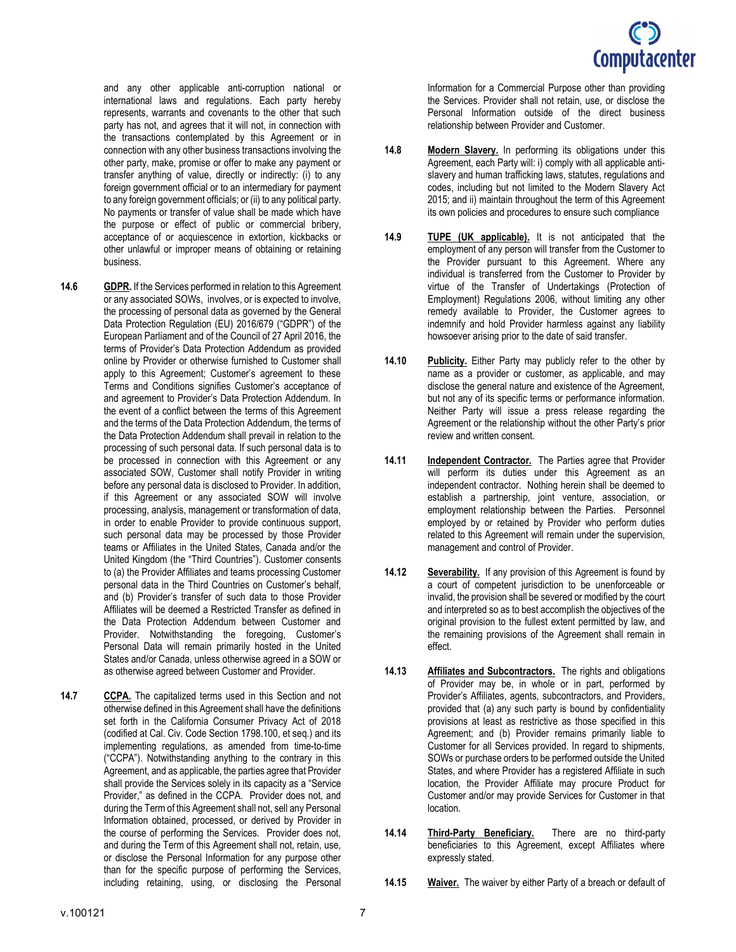

and any other applicable anti-corruption national or international laws and regulations. Each party hereby represents, warrants and covenants to the other that such party has not, and agrees that it will not, in connection with the transactions contemplated by this Agreement or in connection with any other business transactions involving the other party, make, promise or offer to make any payment or transfer anything of value, directly or indirectly: (i) to any foreign government official or to an intermediary for payment to any foreign government officials; or (ii) to any political party. No payments or transfer of value shall be made which have the purpose or effect of public or commercial bribery, acceptance of or acquiescence in extortion, kickbacks or other unlawful or improper means of obtaining or retaining business.

- 14.6 **GDPR.** If the Services performed in relation to this Agreement or any associated SOWs, involves, or is expected to involve, the processing of personal data as governed by the General Data Protection Regulation (EU) 2016/679 ("GDPR") of the European Parliament and of the Council of 27 April 2016, the terms of Provider's Data Protection Addendum as provided online by Provider or otherwise furnished to Customer shall apply to this Agreement; Customer's agreement to these Terms and Conditions signifies Customer's acceptance of and agreement to Provider's Data Protection Addendum. In the event of a conflict between the terms of this Agreement and the terms of the Data Protection Addendum, the terms of the Data Protection Addendum shall prevail in relation to the processing of such personal data. If such personal data is to be processed in connection with this Agreement or any associated SOW, Customer shall notify Provider in writing before any personal data is disclosed to Provider. In addition, if this Agreement or any associated SOW will involve processing, analysis, management or transformation of data, in order to enable Provider to provide continuous support, such personal data may be processed by those Provider teams or Affiliates in the United States, Canada and/or the United Kingdom (the "Third Countries"). Customer consents to (a) the Provider Affiliates and teams processing Customer personal data in the Third Countries on Customer's behalf, and (b) Provider's transfer of such data to those Provider Affiliates will be deemed a Restricted Transfer as defined in the Data Protection Addendum between Customer and Provider. Notwithstanding the foregoing, Customer's Personal Data will remain primarily hosted in the United States and/or Canada, unless otherwise agreed in a SOW or as otherwise agreed between Customer and Provider.
- 14.7 CCPA. The capitalized terms used in this Section and not otherwise defined in this Agreement shall have the definitions set forth in the California Consumer Privacy Act of 2018 (codified at Cal. Civ. Code Section 1798.100, et seq.) and its implementing regulations, as amended from time-to-time ("CCPA"). Notwithstanding anything to the contrary in this Agreement, and as applicable, the parties agree that Provider shall provide the Services solely in its capacity as a "Service Provider," as defined in the CCPA. Provider does not, and during the Term of this Agreement shall not, sell any Personal Information obtained, processed, or derived by Provider in the course of performing the Services. Provider does not, and during the Term of this Agreement shall not, retain, use, or disclose the Personal Information for any purpose other than for the specific purpose of performing the Services, including retaining, using, or disclosing the Personal

Information for a Commercial Purpose other than providing the Services. Provider shall not retain, use, or disclose the Personal Information outside of the direct business relationship between Provider and Customer.

- 14.8 Modern Slavery. In performing its obligations under this Agreement, each Party will: i) comply with all applicable antislavery and human trafficking laws, statutes, regulations and codes, including but not limited to the Modern Slavery Act 2015; and ii) maintain throughout the term of this Agreement its own policies and procedures to ensure such compliance
- 14.9 TUPE (UK applicable). It is not anticipated that the employment of any person will transfer from the Customer to the Provider pursuant to this Agreement. Where any individual is transferred from the Customer to Provider by virtue of the Transfer of Undertakings (Protection of Employment) Regulations 2006, without limiting any other remedy available to Provider, the Customer agrees to indemnify and hold Provider harmless against any liability howsoever arising prior to the date of said transfer.
- 14.10 Publicity. Either Party may publicly refer to the other by name as a provider or customer, as applicable, and may disclose the general nature and existence of the Agreement, but not any of its specific terms or performance information. Neither Party will issue a press release regarding the Agreement or the relationship without the other Party's prior review and written consent.
- 14.11 Independent Contractor. The Parties agree that Provider will perform its duties under this Agreement as an independent contractor. Nothing herein shall be deemed to establish a partnership, joint venture, association, or employment relationship between the Parties. Personnel employed by or retained by Provider who perform duties related to this Agreement will remain under the supervision, management and control of Provider.
- 14.12 Severability. If any provision of this Agreement is found by a court of competent jurisdiction to be unenforceable or invalid, the provision shall be severed or modified by the court and interpreted so as to best accomplish the objectives of the original provision to the fullest extent permitted by law, and the remaining provisions of the Agreement shall remain in effect.
- 14.13 Affiliates and Subcontractors. The rights and obligations of Provider may be, in whole or in part, performed by Provider's Affiliates, agents, subcontractors, and Providers, provided that (a) any such party is bound by confidentiality provisions at least as restrictive as those specified in this Agreement; and (b) Provider remains primarily liable to Customer for all Services provided. In regard to shipments, SOWs or purchase orders to be performed outside the United States, and where Provider has a registered Affiliate in such location, the Provider Affiliate may procure Product for Customer and/or may provide Services for Customer in that location.
- 14.14 Third-Party Beneficiary. There are no third-party beneficiaries to this Agreement, except Affiliates where expressly stated.
- 14.15 Waiver. The waiver by either Party of a breach or default of